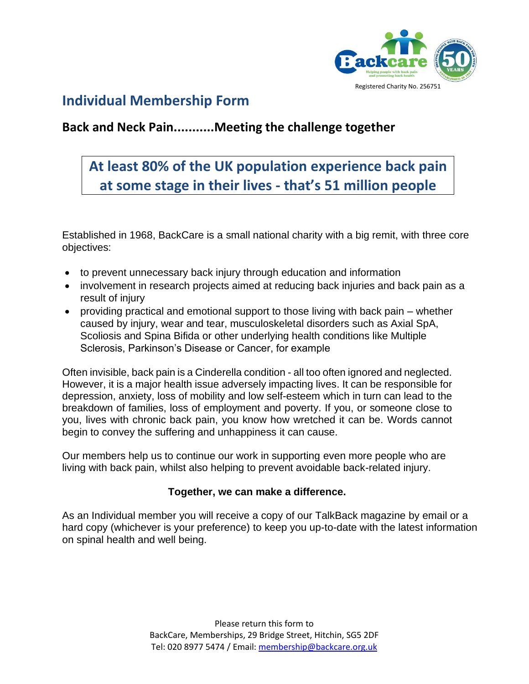

## **Individual Membership Form**

## **Back and Neck Pain...........Meeting the challenge together**

# **At least 80% of the UK population experience back pain at some stage in their lives - that's 51 million people**

Established in 1968, BackCare is a small national charity with a big remit, with three core objectives:

- to prevent unnecessary back injury through education and information
- involvement in research projects aimed at reducing back injuries and back pain as a result of injury
- providing practical and emotional support to those living with back pain whether caused by injury, wear and tear, musculoskeletal disorders such as Axial SpA, Scoliosis and Spina Bifida or other underlying health conditions like Multiple Sclerosis, Parkinson's Disease or Cancer, for example

Often invisible, back pain is a Cinderella condition - all too often ignored and neglected. However, it is a major health issue adversely impacting lives. It can be responsible for depression, anxiety, loss of mobility and low self-esteem which in turn can lead to the breakdown of families, loss of employment and poverty. If you, or someone close to you, lives with chronic back pain, you know how wretched it can be. Words cannot begin to convey the suffering and unhappiness it can cause.

Our members help us to continue our work in supporting even more people who are living with back pain, whilst also helping to prevent avoidable back-related injury.

#### **Together, we can make a difference.**

As an Individual member you will receive a copy of our TalkBack magazine by email or a hard copy (whichever is your preference) to keep you up-to-date with the latest information on spinal health and well being.